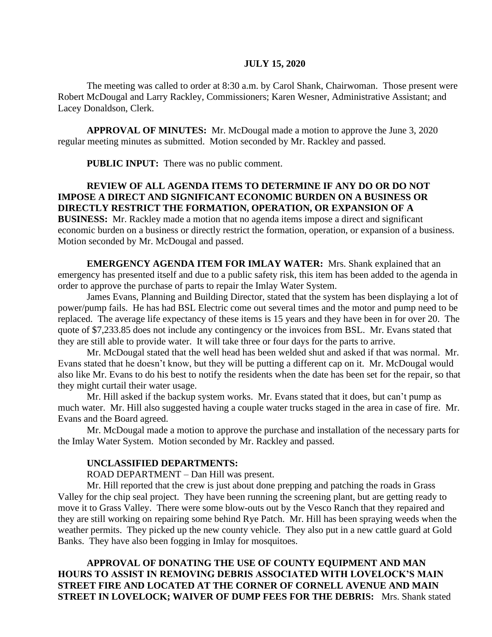### **JULY 15, 2020**

The meeting was called to order at 8:30 a.m. by Carol Shank, Chairwoman. Those present were Robert McDougal and Larry Rackley, Commissioners; Karen Wesner, Administrative Assistant; and Lacey Donaldson, Clerk.

**APPROVAL OF MINUTES:** Mr. McDougal made a motion to approve the June 3, 2020 regular meeting minutes as submitted. Motion seconded by Mr. Rackley and passed.

**PUBLIC INPUT:** There was no public comment.

# **REVIEW OF ALL AGENDA ITEMS TO DETERMINE IF ANY DO OR DO NOT IMPOSE A DIRECT AND SIGNIFICANT ECONOMIC BURDEN ON A BUSINESS OR DIRECTLY RESTRICT THE FORMATION, OPERATION, OR EXPANSION OF A**

**BUSINESS:** Mr. Rackley made a motion that no agenda items impose a direct and significant economic burden on a business or directly restrict the formation, operation, or expansion of a business. Motion seconded by Mr. McDougal and passed.

**EMERGENCY AGENDA ITEM FOR IMLAY WATER:** Mrs. Shank explained that an emergency has presented itself and due to a public safety risk, this item has been added to the agenda in order to approve the purchase of parts to repair the Imlay Water System.

James Evans, Planning and Building Director, stated that the system has been displaying a lot of power/pump fails. He has had BSL Electric come out several times and the motor and pump need to be replaced. The average life expectancy of these items is 15 years and they have been in for over 20. The quote of \$7,233.85 does not include any contingency or the invoices from BSL. Mr. Evans stated that they are still able to provide water. It will take three or four days for the parts to arrive.

Mr. McDougal stated that the well head has been welded shut and asked if that was normal. Mr. Evans stated that he doesn't know, but they will be putting a different cap on it. Mr. McDougal would also like Mr. Evans to do his best to notify the residents when the date has been set for the repair, so that they might curtail their water usage.

Mr. Hill asked if the backup system works. Mr. Evans stated that it does, but can't pump as much water. Mr. Hill also suggested having a couple water trucks staged in the area in case of fire. Mr. Evans and the Board agreed.

Mr. McDougal made a motion to approve the purchase and installation of the necessary parts for the Imlay Water System. Motion seconded by Mr. Rackley and passed.

#### **UNCLASSIFIED DEPARTMENTS:**

ROAD DEPARTMENT – Dan Hill was present.

Mr. Hill reported that the crew is just about done prepping and patching the roads in Grass Valley for the chip seal project. They have been running the screening plant, but are getting ready to move it to Grass Valley. There were some blow-outs out by the Vesco Ranch that they repaired and they are still working on repairing some behind Rye Patch. Mr. Hill has been spraying weeds when the weather permits. They picked up the new county vehicle. They also put in a new cattle guard at Gold Banks. They have also been fogging in Imlay for mosquitoes.

**APPROVAL OF DONATING THE USE OF COUNTY EQUIPMENT AND MAN HOURS TO ASSIST IN REMOVING DEBRIS ASSOCIATED WITH LOVELOCK'S MAIN STREET FIRE AND LOCATED AT THE CORNER OF CORNELL AVENUE AND MAIN STREET IN LOVELOCK; WAIVER OF DUMP FEES FOR THE DEBRIS:** Mrs. Shank stated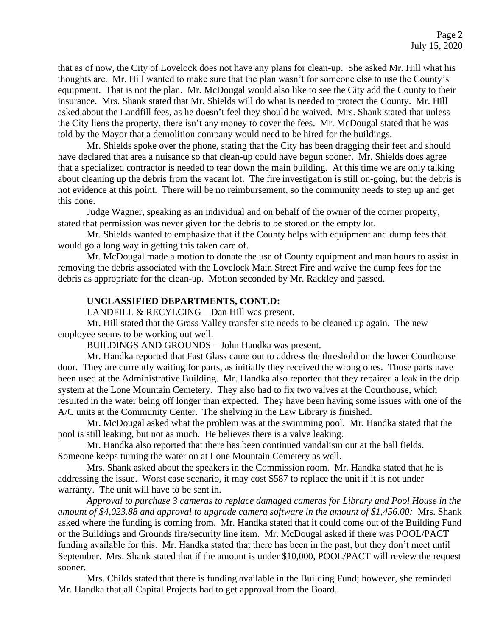that as of now, the City of Lovelock does not have any plans for clean-up. She asked Mr. Hill what his thoughts are. Mr. Hill wanted to make sure that the plan wasn't for someone else to use the County's equipment. That is not the plan. Mr. McDougal would also like to see the City add the County to their insurance. Mrs. Shank stated that Mr. Shields will do what is needed to protect the County. Mr. Hill asked about the Landfill fees, as he doesn't feel they should be waived. Mrs. Shank stated that unless the City liens the property, there isn't any money to cover the fees. Mr. McDougal stated that he was told by the Mayor that a demolition company would need to be hired for the buildings.

Mr. Shields spoke over the phone, stating that the City has been dragging their feet and should have declared that area a nuisance so that clean-up could have begun sooner. Mr. Shields does agree that a specialized contractor is needed to tear down the main building. At this time we are only talking about cleaning up the debris from the vacant lot. The fire investigation is still on-going, but the debris is not evidence at this point. There will be no reimbursement, so the community needs to step up and get this done.

Judge Wagner, speaking as an individual and on behalf of the owner of the corner property, stated that permission was never given for the debris to be stored on the empty lot.

Mr. Shields wanted to emphasize that if the County helps with equipment and dump fees that would go a long way in getting this taken care of.

Mr. McDougal made a motion to donate the use of County equipment and man hours to assist in removing the debris associated with the Lovelock Main Street Fire and waive the dump fees for the debris as appropriate for the clean-up. Motion seconded by Mr. Rackley and passed.

### **UNCLASSIFIED DEPARTMENTS, CONT.D:**

LANDFILL & RECYLCING – Dan Hill was present.

Mr. Hill stated that the Grass Valley transfer site needs to be cleaned up again. The new employee seems to be working out well.

BUILDINGS AND GROUNDS – John Handka was present.

Mr. Handka reported that Fast Glass came out to address the threshold on the lower Courthouse door. They are currently waiting for parts, as initially they received the wrong ones. Those parts have been used at the Administrative Building. Mr. Handka also reported that they repaired a leak in the drip system at the Lone Mountain Cemetery. They also had to fix two valves at the Courthouse, which resulted in the water being off longer than expected. They have been having some issues with one of the A/C units at the Community Center. The shelving in the Law Library is finished.

Mr. McDougal asked what the problem was at the swimming pool. Mr. Handka stated that the pool is still leaking, but not as much. He believes there is a valve leaking.

Mr. Handka also reported that there has been continued vandalism out at the ball fields. Someone keeps turning the water on at Lone Mountain Cemetery as well.

Mrs. Shank asked about the speakers in the Commission room. Mr. Handka stated that he is addressing the issue. Worst case scenario, it may cost \$587 to replace the unit if it is not under warranty. The unit will have to be sent in.

*Approval to purchase 3 cameras to replace damaged cameras for Library and Pool House in the amount of \$4,023.88 and approval to upgrade camera software in the amount of \$1,456.00:* Mrs. Shank asked where the funding is coming from. Mr. Handka stated that it could come out of the Building Fund or the Buildings and Grounds fire/security line item. Mr. McDougal asked if there was POOL/PACT funding available for this. Mr. Handka stated that there has been in the past, but they don't meet until September. Mrs. Shank stated that if the amount is under \$10,000, POOL/PACT will review the request sooner.

Mrs. Childs stated that there is funding available in the Building Fund; however, she reminded Mr. Handka that all Capital Projects had to get approval from the Board.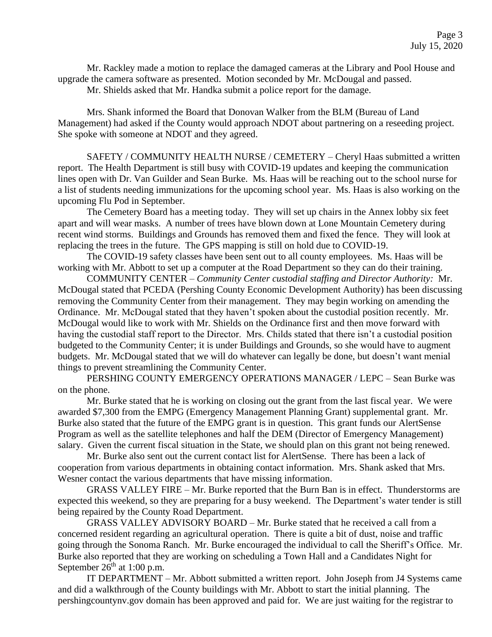Mr. Rackley made a motion to replace the damaged cameras at the Library and Pool House and upgrade the camera software as presented. Motion seconded by Mr. McDougal and passed.

Mr. Shields asked that Mr. Handka submit a police report for the damage.

Mrs. Shank informed the Board that Donovan Walker from the BLM (Bureau of Land Management) had asked if the County would approach NDOT about partnering on a reseeding project. She spoke with someone at NDOT and they agreed.

SAFETY / COMMUNITY HEALTH NURSE / CEMETERY – Cheryl Haas submitted a written report. The Health Department is still busy with COVID-19 updates and keeping the communication lines open with Dr. Van Guilder and Sean Burke. Ms. Haas will be reaching out to the school nurse for a list of students needing immunizations for the upcoming school year. Ms. Haas is also working on the upcoming Flu Pod in September.

The Cemetery Board has a meeting today. They will set up chairs in the Annex lobby six feet apart and will wear masks. A number of trees have blown down at Lone Mountain Cemetery during recent wind storms. Buildings and Grounds has removed them and fixed the fence. They will look at replacing the trees in the future. The GPS mapping is still on hold due to COVID-19.

The COVID-19 safety classes have been sent out to all county employees. Ms. Haas will be working with Mr. Abbott to set up a computer at the Road Department so they can do their training.

COMMUNITY CENTER – *Community Center custodial staffing and Director Authority:* Mr. McDougal stated that PCEDA (Pershing County Economic Development Authority) has been discussing removing the Community Center from their management. They may begin working on amending the Ordinance. Mr. McDougal stated that they haven't spoken about the custodial position recently. Mr. McDougal would like to work with Mr. Shields on the Ordinance first and then move forward with having the custodial staff report to the Director. Mrs. Childs stated that there isn't a custodial position budgeted to the Community Center; it is under Buildings and Grounds, so she would have to augment budgets. Mr. McDougal stated that we will do whatever can legally be done, but doesn't want menial things to prevent streamlining the Community Center.

PERSHING COUNTY EMERGENCY OPERATIONS MANAGER / LEPC – Sean Burke was on the phone.

Mr. Burke stated that he is working on closing out the grant from the last fiscal year. We were awarded \$7,300 from the EMPG (Emergency Management Planning Grant) supplemental grant. Mr. Burke also stated that the future of the EMPG grant is in question. This grant funds our AlertSense Program as well as the satellite telephones and half the DEM (Director of Emergency Management) salary. Given the current fiscal situation in the State, we should plan on this grant not being renewed.

Mr. Burke also sent out the current contact list for AlertSense. There has been a lack of cooperation from various departments in obtaining contact information. Mrs. Shank asked that Mrs. Wesner contact the various departments that have missing information.

GRASS VALLEY FIRE – Mr. Burke reported that the Burn Ban is in effect. Thunderstorms are expected this weekend, so they are preparing for a busy weekend. The Department's water tender is still being repaired by the County Road Department.

GRASS VALLEY ADVISORY BOARD – Mr. Burke stated that he received a call from a concerned resident regarding an agricultural operation. There is quite a bit of dust, noise and traffic going through the Sonoma Ranch. Mr. Burke encouraged the individual to call the Sheriff's Office. Mr. Burke also reported that they are working on scheduling a Town Hall and a Candidates Night for September  $26<sup>th</sup>$  at 1:00 p.m.

IT DEPARTMENT – Mr. Abbott submitted a written report. John Joseph from J4 Systems came and did a walkthrough of the County buildings with Mr. Abbott to start the initial planning. The pershingcountynv.gov domain has been approved and paid for. We are just waiting for the registrar to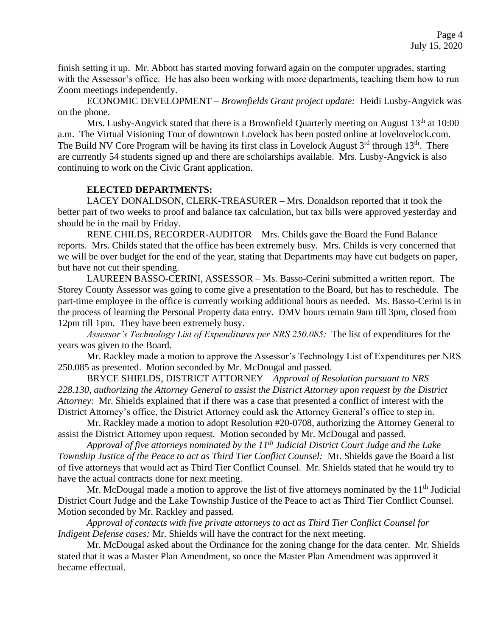finish setting it up. Mr. Abbott has started moving forward again on the computer upgrades, starting with the Assessor's office. He has also been working with more departments, teaching them how to run Zoom meetings independently.

ECONOMIC DEVELOPMENT – *Brownfields Grant project update:* Heidi Lusby-Angvick was on the phone.

Mrs. Lusby-Angvick stated that there is a Brownfield Quarterly meeting on August 13<sup>th</sup> at 10:00 a.m. The Virtual Visioning Tour of downtown Lovelock has been posted online at lovelovelock.com. The Build NV Core Program will be having its first class in Lovelock August  $3<sup>rd</sup>$  through  $13<sup>th</sup>$ . There are currently 54 students signed up and there are scholarships available. Mrs. Lusby-Angvick is also continuing to work on the Civic Grant application.

### **ELECTED DEPARTMENTS:**

LACEY DONALDSON, CLERK-TREASURER – Mrs. Donaldson reported that it took the better part of two weeks to proof and balance tax calculation, but tax bills were approved yesterday and should be in the mail by Friday.

RENE CHILDS, RECORDER-AUDITOR – Mrs. Childs gave the Board the Fund Balance reports. Mrs. Childs stated that the office has been extremely busy. Mrs. Childs is very concerned that we will be over budget for the end of the year, stating that Departments may have cut budgets on paper, but have not cut their spending.

LAUREEN BASSO-CERINI, ASSESSOR – Ms. Basso-Cerini submitted a written report. The Storey County Assessor was going to come give a presentation to the Board, but has to reschedule. The part-time employee in the office is currently working additional hours as needed. Ms. Basso-Cerini is in the process of learning the Personal Property data entry. DMV hours remain 9am till 3pm, closed from 12pm till 1pm. They have been extremely busy.

*Assessor's Technology List of Expenditures per NRS 250.085:* The list of expenditures for the years was given to the Board.

Mr. Rackley made a motion to approve the Assessor's Technology List of Expenditures per NRS 250.085 as presented. Motion seconded by Mr. McDougal and passed.

BRYCE SHIELDS, DISTRICT ATTORNEY – *Approval of Resolution pursuant to NRS 228.130, authorizing the Attorney General to assist the District Attorney upon request by the District Attorney:* Mr. Shields explained that if there was a case that presented a conflict of interest with the District Attorney's office, the District Attorney could ask the Attorney General's office to step in.

Mr. Rackley made a motion to adopt Resolution #20-0708, authorizing the Attorney General to assist the District Attorney upon request. Motion seconded by Mr. McDougal and passed.

*Approval of five attorneys nominated by the 11th Judicial District Court Judge and the Lake Township Justice of the Peace to act as Third Tier Conflict Counsel:* Mr. Shields gave the Board a list of five attorneys that would act as Third Tier Conflict Counsel. Mr. Shields stated that he would try to have the actual contracts done for next meeting.

Mr. McDougal made a motion to approve the list of five attorneys nominated by the  $11<sup>th</sup>$  Judicial District Court Judge and the Lake Township Justice of the Peace to act as Third Tier Conflict Counsel. Motion seconded by Mr. Rackley and passed.

*Approval of contacts with five private attorneys to act as Third Tier Conflict Counsel for Indigent Defense cases:* Mr. Shields will have the contract for the next meeting.

Mr. McDougal asked about the Ordinance for the zoning change for the data center. Mr. Shields stated that it was a Master Plan Amendment, so once the Master Plan Amendment was approved it became effectual.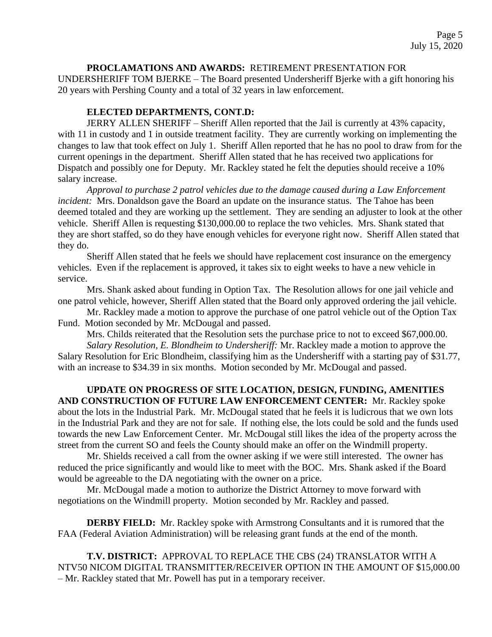### **PROCLAMATIONS AND AWARDS:** RETIREMENT PRESENTATION FOR

UNDERSHERIFF TOM BJERKE – The Board presented Undersheriff Bjerke with a gift honoring his 20 years with Pershing County and a total of 32 years in law enforcement.

## **ELECTED DEPARTMENTS, CONT.D:**

JERRY ALLEN SHERIFF – Sheriff Allen reported that the Jail is currently at 43% capacity, with 11 in custody and 1 in outside treatment facility. They are currently working on implementing the changes to law that took effect on July 1. Sheriff Allen reported that he has no pool to draw from for the current openings in the department. Sheriff Allen stated that he has received two applications for Dispatch and possibly one for Deputy. Mr. Rackley stated he felt the deputies should receive a 10% salary increase.

*Approval to purchase 2 patrol vehicles due to the damage caused during a Law Enforcement incident:* Mrs. Donaldson gave the Board an update on the insurance status. The Tahoe has been deemed totaled and they are working up the settlement. They are sending an adjuster to look at the other vehicle. Sheriff Allen is requesting \$130,000.00 to replace the two vehicles. Mrs. Shank stated that they are short staffed, so do they have enough vehicles for everyone right now. Sheriff Allen stated that they do.

Sheriff Allen stated that he feels we should have replacement cost insurance on the emergency vehicles. Even if the replacement is approved, it takes six to eight weeks to have a new vehicle in service.

Mrs. Shank asked about funding in Option Tax. The Resolution allows for one jail vehicle and one patrol vehicle, however, Sheriff Allen stated that the Board only approved ordering the jail vehicle.

Mr. Rackley made a motion to approve the purchase of one patrol vehicle out of the Option Tax Fund. Motion seconded by Mr. McDougal and passed.

Mrs. Childs reiterated that the Resolution sets the purchase price to not to exceed \$67,000.00.

*Salary Resolution, E. Blondheim to Undersheriff:* Mr. Rackley made a motion to approve the Salary Resolution for Eric Blondheim, classifying him as the Undersheriff with a starting pay of \$31.77, with an increase to \$34.39 in six months. Motion seconded by Mr. McDougal and passed.

**UPDATE ON PROGRESS OF SITE LOCATION, DESIGN, FUNDING, AMENITIES AND CONSTRUCTION OF FUTURE LAW ENFORCEMENT CENTER:** Mr. Rackley spoke about the lots in the Industrial Park. Mr. McDougal stated that he feels it is ludicrous that we own lots in the Industrial Park and they are not for sale. If nothing else, the lots could be sold and the funds used towards the new Law Enforcement Center. Mr. McDougal still likes the idea of the property across the street from the current SO and feels the County should make an offer on the Windmill property.

Mr. Shields received a call from the owner asking if we were still interested. The owner has reduced the price significantly and would like to meet with the BOC. Mrs. Shank asked if the Board would be agreeable to the DA negotiating with the owner on a price.

Mr. McDougal made a motion to authorize the District Attorney to move forward with negotiations on the Windmill property. Motion seconded by Mr. Rackley and passed.

**DERBY FIELD:** Mr. Rackley spoke with Armstrong Consultants and it is rumored that the FAA (Federal Aviation Administration) will be releasing grant funds at the end of the month.

**T.V. DISTRICT:** APPROVAL TO REPLACE THE CBS (24) TRANSLATOR WITH A NTV50 NICOM DIGITAL TRANSMITTER/RECEIVER OPTION IN THE AMOUNT OF \$15,000.00 – Mr. Rackley stated that Mr. Powell has put in a temporary receiver.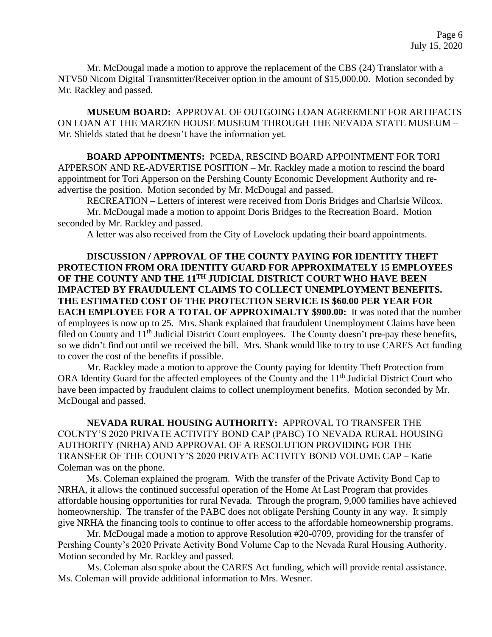Mr. McDougal made a motion to approve the replacement of the CBS (24) Translator with a NTV50 Nicom Digital Transmitter/Receiver option in the amount of \$15,000.00. Motion seconded by Mr. Rackley and passed.

**MUSEUM BOARD:** APPROVAL OF OUTGOING LOAN AGREEMENT FOR ARTIFACTS ON LOAN AT THE MARZEN HOUSE MUSEUM THROUGH THE NEVADA STATE MUSEUM – Mr. Shields stated that he doesn't have the information yet.

**BOARD APPOINTMENTS:** PCEDA, RESCIND BOARD APPOINTMENT FOR TORI APPERSON AND RE-ADVERTISE POSITION – Mr. Rackley made a motion to rescind the board appointment for Tori Apperson on the Pershing County Economic Development Authority and readvertise the position. Motion seconded by Mr. McDougal and passed.

RECREATION – Letters of interest were received from Doris Bridges and Charlsie Wilcox. Mr. McDougal made a motion to appoint Doris Bridges to the Recreation Board. Motion seconded by Mr. Rackley and passed.

A letter was also received from the City of Lovelock updating their board appointments.

**DISCUSSION / APPROVAL OF THE COUNTY PAYING FOR IDENTITY THEFT PROTECTION FROM ORA IDENTITY GUARD FOR APPROXIMATELY 15 EMPLOYEES OF THE COUNTY AND THE 11TH JUDICIAL DISTRICT COURT WHO HAVE BEEN IMPACTED BY FRAUDULENT CLAIMS TO COLLECT UNEMPLOYMENT BENEFITS. THE ESTIMATED COST OF THE PROTECTION SERVICE IS \$60.00 PER YEAR FOR EACH EMPLOYEE FOR A TOTAL OF APPROXIMALTY \$900.00:** It was noted that the number of employees is now up to 25. Mrs. Shank explained that fraudulent Unemployment Claims have been filed on County and 11<sup>th</sup> Judicial District Court employees. The County doesn't pre-pay these benefits, so we didn't find out until we received the bill. Mrs. Shank would like to try to use CARES Act funding to cover the cost of the benefits if possible.

Mr. Rackley made a motion to approve the County paying for Identity Theft Protection from ORA Identity Guard for the affected employees of the County and the 11<sup>th</sup> Judicial District Court who have been impacted by fraudulent claims to collect unemployment benefits. Motion seconded by Mr. McDougal and passed.

**NEVADA RURAL HOUSING AUTHORITY:** APPROVAL TO TRANSFER THE COUNTY'S 2020 PRIVATE ACTIVITY BOND CAP (PABC) TO NEVADA RURAL HOUSING AUTHORITY (NRHA) AND APPROVAL OF A RESOLUTION PROVIDING FOR THE TRANSFER OF THE COUNTY'S 2020 PRIVATE ACTIVITY BOND VOLUME CAP – Katie Coleman was on the phone.

Ms. Coleman explained the program. With the transfer of the Private Activity Bond Cap to NRHA, it allows the continued successful operation of the Home At Last Program that provides affordable housing opportunities for rural Nevada. Through the program, 9,000 families have achieved homeownership. The transfer of the PABC does not obligate Pershing County in any way. It simply give NRHA the financing tools to continue to offer access to the affordable homeownership programs.

Mr. McDougal made a motion to approve Resolution #20-0709, providing for the transfer of Pershing County's 2020 Private Activity Bond Volume Cap to the Nevada Rural Housing Authority. Motion seconded by Mr. Rackley and passed.

Ms. Coleman also spoke about the CARES Act funding, which will provide rental assistance. Ms. Coleman will provide additional information to Mrs. Wesner.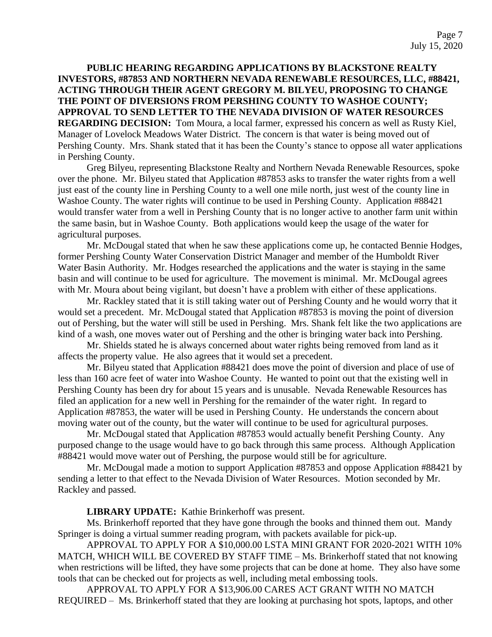# **PUBLIC HEARING REGARDING APPLICATIONS BY BLACKSTONE REALTY INVESTORS, #87853 AND NORTHERN NEVADA RENEWABLE RESOURCES, LLC, #88421, ACTING THROUGH THEIR AGENT GREGORY M. BILYEU, PROPOSING TO CHANGE THE POINT OF DIVERSIONS FROM PERSHING COUNTY TO WASHOE COUNTY; APPROVAL TO SEND LETTER TO THE NEVADA DIVISION OF WATER RESOURCES REGARDING DECISION:** Tom Moura, a local farmer, expressed his concern as well as Rusty Kiel, Manager of Lovelock Meadows Water District. The concern is that water is being moved out of Pershing County. Mrs. Shank stated that it has been the County's stance to oppose all water applications in Pershing County.

Greg Bilyeu, representing Blackstone Realty and Northern Nevada Renewable Resources, spoke over the phone. Mr. Bilyeu stated that Application #87853 asks to transfer the water rights from a well just east of the county line in Pershing County to a well one mile north, just west of the county line in Washoe County. The water rights will continue to be used in Pershing County. Application #88421 would transfer water from a well in Pershing County that is no longer active to another farm unit within the same basin, but in Washoe County. Both applications would keep the usage of the water for agricultural purposes.

Mr. McDougal stated that when he saw these applications come up, he contacted Bennie Hodges, former Pershing County Water Conservation District Manager and member of the Humboldt River Water Basin Authority. Mr. Hodges researched the applications and the water is staying in the same basin and will continue to be used for agriculture. The movement is minimal. Mr. McDougal agrees with Mr. Moura about being vigilant, but doesn't have a problem with either of these applications.

Mr. Rackley stated that it is still taking water out of Pershing County and he would worry that it would set a precedent. Mr. McDougal stated that Application #87853 is moving the point of diversion out of Pershing, but the water will still be used in Pershing. Mrs. Shank felt like the two applications are kind of a wash, one moves water out of Pershing and the other is bringing water back into Pershing.

Mr. Shields stated he is always concerned about water rights being removed from land as it affects the property value. He also agrees that it would set a precedent.

Mr. Bilyeu stated that Application #88421 does move the point of diversion and place of use of less than 160 acre feet of water into Washoe County. He wanted to point out that the existing well in Pershing County has been dry for about 15 years and is unusable. Nevada Renewable Resources has filed an application for a new well in Pershing for the remainder of the water right. In regard to Application #87853, the water will be used in Pershing County. He understands the concern about moving water out of the county, but the water will continue to be used for agricultural purposes.

Mr. McDougal stated that Application #87853 would actually benefit Pershing County. Any purposed change to the usage would have to go back through this same process. Although Application #88421 would move water out of Pershing, the purpose would still be for agriculture.

Mr. McDougal made a motion to support Application #87853 and oppose Application #88421 by sending a letter to that effect to the Nevada Division of Water Resources. Motion seconded by Mr. Rackley and passed.

**LIBRARY UPDATE:** Kathie Brinkerhoff was present.

Ms. Brinkerhoff reported that they have gone through the books and thinned them out. Mandy Springer is doing a virtual summer reading program, with packets available for pick-up.

APPROVAL TO APPLY FOR A \$10,000.00 LSTA MINI GRANT FOR 2020-2021 WITH 10% MATCH, WHICH WILL BE COVERED BY STAFF TIME – Ms. Brinkerhoff stated that not knowing when restrictions will be lifted, they have some projects that can be done at home. They also have some tools that can be checked out for projects as well, including metal embossing tools.

APPROVAL TO APPLY FOR A \$13,906.00 CARES ACT GRANT WITH NO MATCH REQUIRED – Ms. Brinkerhoff stated that they are looking at purchasing hot spots, laptops, and other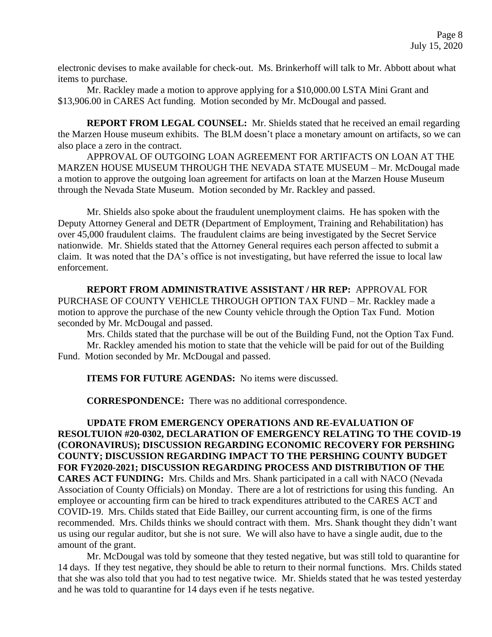electronic devises to make available for check-out. Ms. Brinkerhoff will talk to Mr. Abbott about what items to purchase.

Mr. Rackley made a motion to approve applying for a \$10,000.00 LSTA Mini Grant and \$13,906.00 in CARES Act funding. Motion seconded by Mr. McDougal and passed.

**REPORT FROM LEGAL COUNSEL:** Mr. Shields stated that he received an email regarding the Marzen House museum exhibits. The BLM doesn't place a monetary amount on artifacts, so we can also place a zero in the contract.

APPROVAL OF OUTGOING LOAN AGREEMENT FOR ARTIFACTS ON LOAN AT THE MARZEN HOUSE MUSEUM THROUGH THE NEVADA STATE MUSEUM – Mr. McDougal made a motion to approve the outgoing loan agreement for artifacts on loan at the Marzen House Museum through the Nevada State Museum. Motion seconded by Mr. Rackley and passed.

Mr. Shields also spoke about the fraudulent unemployment claims. He has spoken with the Deputy Attorney General and DETR (Department of Employment, Training and Rehabilitation) has over 45,000 fraudulent claims. The fraudulent claims are being investigated by the Secret Service nationwide. Mr. Shields stated that the Attorney General requires each person affected to submit a claim. It was noted that the DA's office is not investigating, but have referred the issue to local law enforcement.

**REPORT FROM ADMINISTRATIVE ASSISTANT / HR REP:** APPROVAL FOR PURCHASE OF COUNTY VEHICLE THROUGH OPTION TAX FUND – Mr. Rackley made a motion to approve the purchase of the new County vehicle through the Option Tax Fund. Motion seconded by Mr. McDougal and passed.

Mrs. Childs stated that the purchase will be out of the Building Fund, not the Option Tax Fund. Mr. Rackley amended his motion to state that the vehicle will be paid for out of the Building Fund. Motion seconded by Mr. McDougal and passed.

**ITEMS FOR FUTURE AGENDAS:** No items were discussed.

**CORRESPONDENCE:** There was no additional correspondence.

**UPDATE FROM EMERGENCY OPERATIONS AND RE-EVALUATION OF RESOLTUION #20-0302, DECLARATION OF EMERGENCY RELATING TO THE COVID-19 (CORONAVIRUS); DISCUSSION REGARDING ECONOMIC RECOVERY FOR PERSHING COUNTY; DISCUSSION REGARDING IMPACT TO THE PERSHING COUNTY BUDGET FOR FY2020-2021; DISCUSSION REGARDING PROCESS AND DISTRIBUTION OF THE CARES ACT FUNDING:** Mrs. Childs and Mrs. Shank participated in a call with NACO (Nevada Association of County Officials) on Monday. There are a lot of restrictions for using this funding. An employee or accounting firm can be hired to track expenditures attributed to the CARES ACT and COVID-19. Mrs. Childs stated that Eide Bailley, our current accounting firm, is one of the firms recommended. Mrs. Childs thinks we should contract with them. Mrs. Shank thought they didn't want us using our regular auditor, but she is not sure. We will also have to have a single audit, due to the amount of the grant.

Mr. McDougal was told by someone that they tested negative, but was still told to quarantine for 14 days. If they test negative, they should be able to return to their normal functions. Mrs. Childs stated that she was also told that you had to test negative twice. Mr. Shields stated that he was tested yesterday and he was told to quarantine for 14 days even if he tests negative.